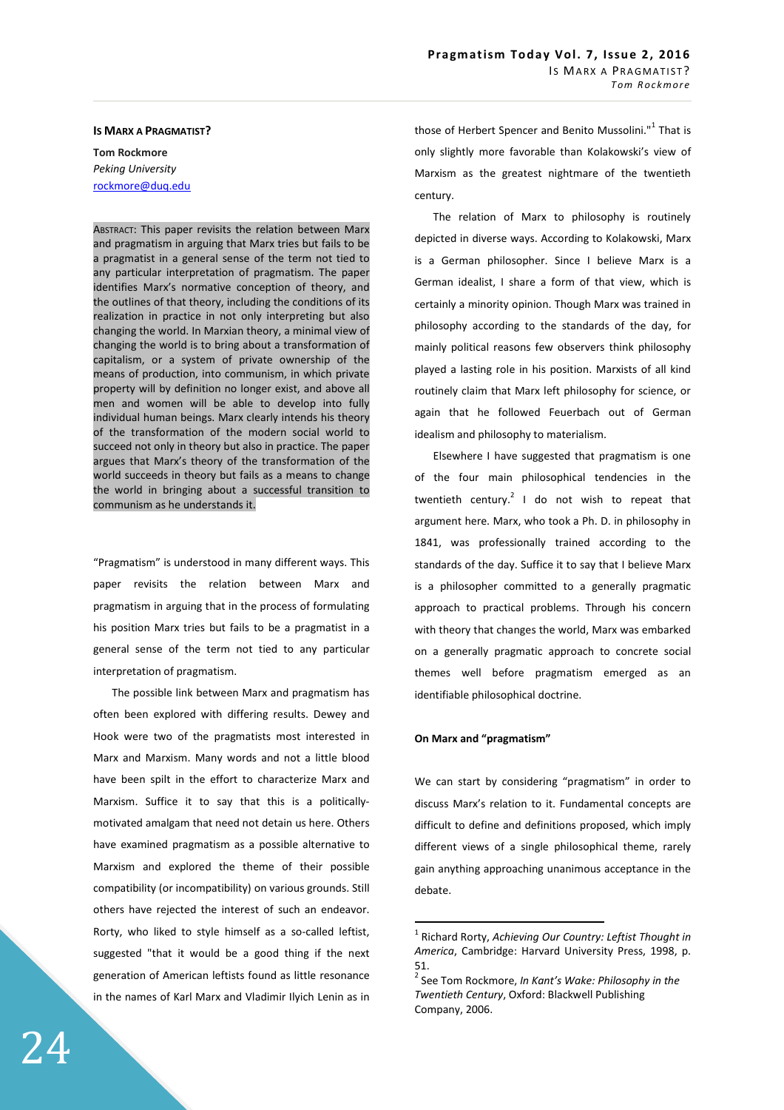# **IS MARX A PRAGMATIST?**

**Tom Rockmore**  *Peking University*  rockmore@duq.edu

ABSTRACT: This paper revisits the relation between Marx and pragmatism in arguing that Marx tries but fails to be a pragmatist in a general sense of the term not tied to any particular interpretation of pragmatism. The paper identifies Marx's normative conception of theory, and the outlines of that theory, including the conditions of its realization in practice in not only interpreting but also changing the world. In Marxian theory, a minimal view of changing the world is to bring about a transformation of capitalism, or a system of private ownership of the means of production, into communism, in which private property will by definition no longer exist, and above all men and women will be able to develop into fully individual human beings. Marx clearly intends his theory of the transformation of the modern social world to succeed not only in theory but also in practice. The paper argues that Marx's theory of the transformation of the world succeeds in theory but fails as a means to change the world in bringing about a successful transition to communism as he understands it.

"Pragmatism" is understood in many different ways. This paper revisits the relation between Marx and pragmatism in arguing that in the process of formulating his position Marx tries but fails to be a pragmatist in a general sense of the term not tied to any particular interpretation of pragmatism.

The possible link between Marx and pragmatism has often been explored with differing results. Dewey and Hook were two of the pragmatists most interested in Marx and Marxism. Many words and not a little blood have been spilt in the effort to characterize Marx and Marxism. Suffice it to say that this is a politicallymotivated amalgam that need not detain us here. Others have examined pragmatism as a possible alternative to Marxism and explored the theme of their possible compatibility (or incompatibility) on various grounds. Still others have rejected the interest of such an endeavor. Rorty, who liked to style himself as a so-called leftist, suggested "that it would be a good thing if the next generation of American leftists found as little resonance in the names of Karl Marx and Vladimir Ilyich Lenin as in

those of Herbert Spencer and Benito Mussolini."<sup>1</sup> That is only slightly more favorable than Kolakowski's view of Marxism as the greatest nightmare of the twentieth century.

The relation of Marx to philosophy is routinely depicted in diverse ways. According to Kolakowski, Marx is a German philosopher. Since I believe Marx is a German idealist, I share a form of that view, which is certainly a minority opinion. Though Marx was trained in philosophy according to the standards of the day, for mainly political reasons few observers think philosophy played a lasting role in his position. Marxists of all kind routinely claim that Marx left philosophy for science, or again that he followed Feuerbach out of German idealism and philosophy to materialism.

Elsewhere I have suggested that pragmatism is one of the four main philosophical tendencies in the twentieth century.<sup>2</sup> I do not wish to repeat that argument here. Marx, who took a Ph. D. in philosophy in 1841, was professionally trained according to the standards of the day. Suffice it to say that I believe Marx is a philosopher committed to a generally pragmatic approach to practical problems. Through his concern with theory that changes the world, Marx was embarked on a generally pragmatic approach to concrete social themes well before pragmatism emerged as an identifiable philosophical doctrine.

### **On Marx and "pragmatism"**

 $\overline{a}$ 

We can start by considering "pragmatism" in order to discuss Marx's relation to it. Fundamental concepts are difficult to define and definitions proposed, which imply different views of a single philosophical theme, rarely gain anything approaching unanimous acceptance in the debate.

<sup>1</sup> Richard Rorty, *Achieving Our Country: Leftist Thought in America*, Cambridge: Harvard University Press, 1998, p. 51.

<sup>2</sup> See Tom Rockmore, *In Kant's Wake: Philosophy in the Twentieth Century*, Oxford: Blackwell Publishing Company, 2006.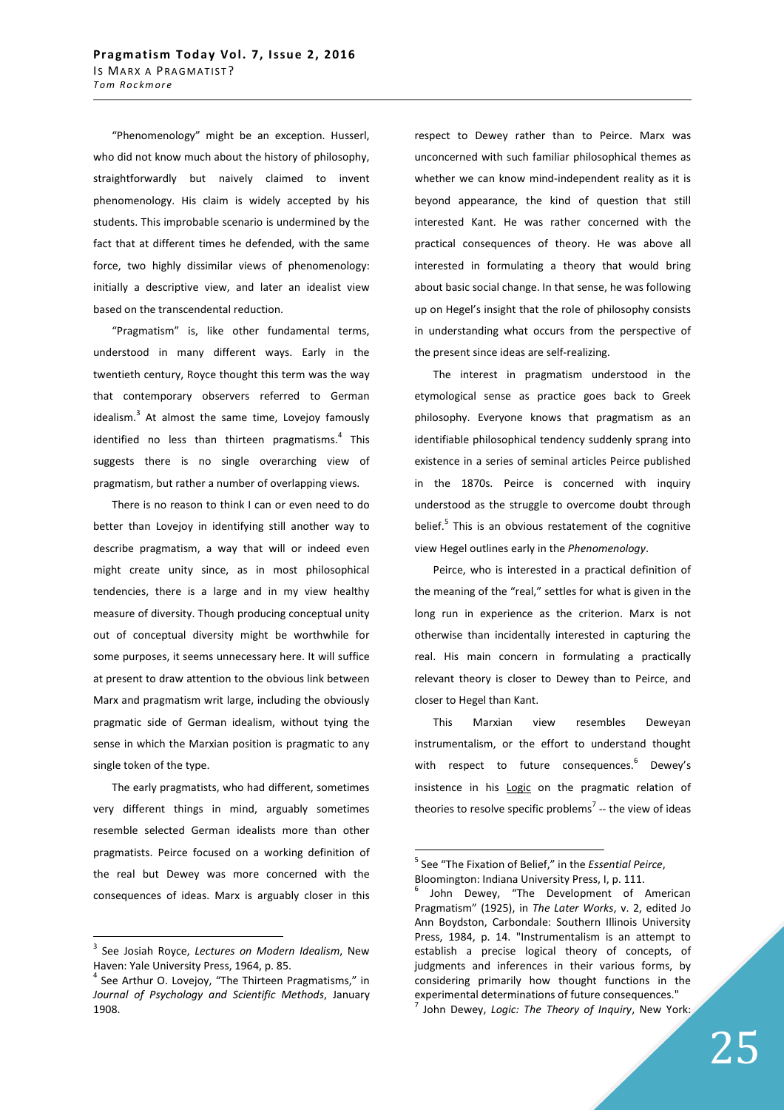"Phenomenology" might be an exception. Husserl, who did not know much about the history of philosophy, straightforwardly but naively claimed to invent phenomenology. His claim is widely accepted by his students. This improbable scenario is undermined by the fact that at different times he defended, with the same force, two highly dissimilar views of phenomenology: initially a descriptive view, and later an idealist view based on the transcendental reduction.

"Pragmatism" is, like other fundamental terms, understood in many different ways. Early in the twentieth century, Royce thought this term was the way that contemporary observers referred to German idealism.<sup>3</sup> At almost the same time, Lovejoy famously identified no less than thirteen pragmatisms.<sup>4</sup> This suggests there is no single overarching view of pragmatism, but rather a number of overlapping views.

There is no reason to think I can or even need to do better than Lovejoy in identifying still another way to describe pragmatism, a way that will or indeed even might create unity since, as in most philosophical tendencies, there is a large and in my view healthy measure of diversity. Though producing conceptual unity out of conceptual diversity might be worthwhile for some purposes, it seems unnecessary here. It will suffice at present to draw attention to the obvious link between Marx and pragmatism writ large, including the obviously pragmatic side of German idealism, without tying the sense in which the Marxian position is pragmatic to any single token of the type.

The early pragmatists, who had different, sometimes very different things in mind, arguably sometimes resemble selected German idealists more than other pragmatists. Peirce focused on a working definition of the real but Dewey was more concerned with the consequences of ideas. Marx is arguably closer in this

 $\overline{a}$ 

respect to Dewey rather than to Peirce. Marx was unconcerned with such familiar philosophical themes as whether we can know mind-independent reality as it is beyond appearance, the kind of question that still interested Kant. He was rather concerned with the practical consequences of theory. He was above all interested in formulating a theory that would bring about basic social change. In that sense, he was following up on Hegel's insight that the role of philosophy consists in understanding what occurs from the perspective of the present since ideas are self-realizing.

The interest in pragmatism understood in the etymological sense as practice goes back to Greek philosophy. Everyone knows that pragmatism as an identifiable philosophical tendency suddenly sprang into existence in a series of seminal articles Peirce published in the 1870s. Peirce is concerned with inquiry understood as the struggle to overcome doubt through belief.<sup>5</sup> This is an obvious restatement of the cognitive view Hegel outlines early in the *Phenomenology*.

Peirce, who is interested in a practical definition of the meaning of the "real," settles for what is given in the long run in experience as the criterion. Marx is not otherwise than incidentally interested in capturing the real. His main concern in formulating a practically relevant theory is closer to Dewey than to Peirce, and closer to Hegel than Kant.

This Marxian view resembles Deweyan instrumentalism, or the effort to understand thought with respect to future consequences.<sup>6</sup> Dewey's insistence in his Logic on the pragmatic relation of theories to resolve specific problems<sup>7</sup> -- the view of ideas

<sup>3</sup> See Josiah Royce, *Lectures on Modern Idealism*, New Haven: Yale University Press, 1964, p. 85.

<sup>&</sup>lt;sup>4</sup> See Arthur O. Lovejoy, "The Thirteen Pragmatisms," in *Journal of Psychology and Scientific Methods*, January 1908.

<sup>5</sup> See "The Fixation of Belief," in the *Essential Peirce*, Bloomington: Indiana University Press, I, p. 111.

<sup>6</sup> John Dewey, "The Development of American Pragmatism" (1925), in *The Later Works*, v. 2, edited Jo Ann Boydston, Carbondale: Southern Illinois University Press, 1984, p. 14. "Instrumentalism is an attempt to establish a precise logical theory of concepts, of judgments and inferences in their various forms, by considering primarily how thought functions in the experimental determinations of future consequences." 7 John Dewey, *Logic: The Theory of Inquiry*, New York: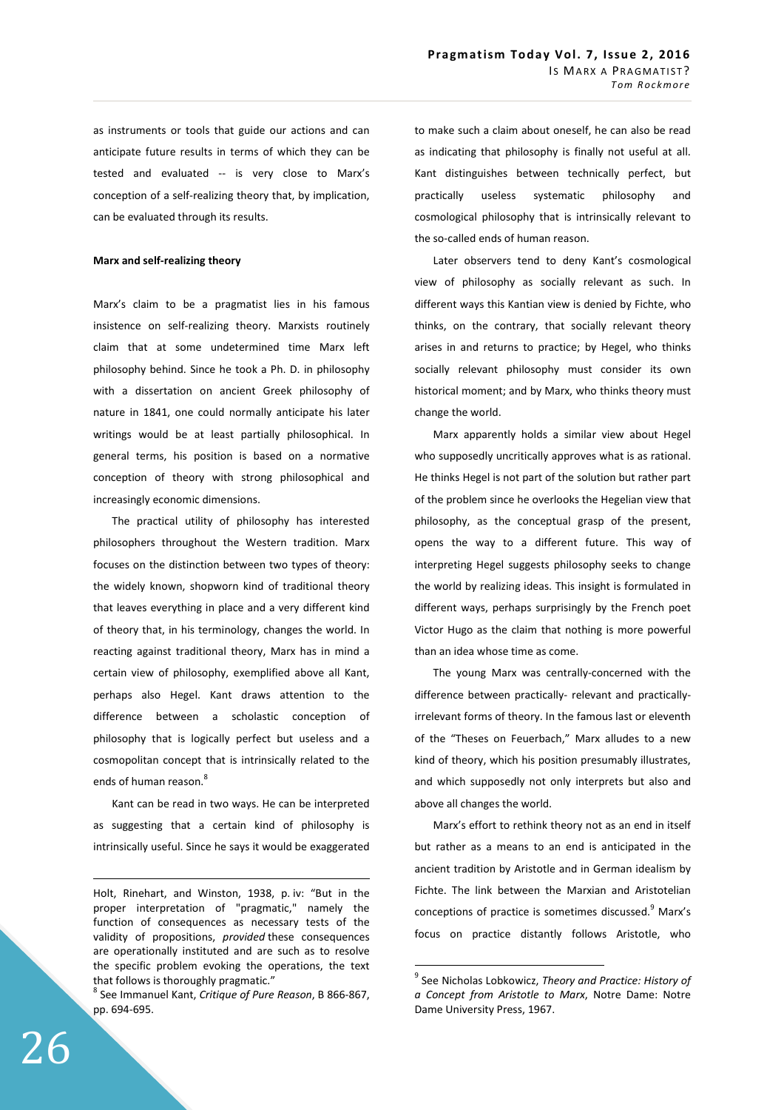as instruments or tools that guide our actions and can anticipate future results in terms of which they can be tested and evaluated -- is very close to Marx's conception of a self-realizing theory that, by implication, can be evaluated through its results.

### **Marx and self-realizing theory**

Marx's claim to be a pragmatist lies in his famous insistence on self-realizing theory. Marxists routinely claim that at some undetermined time Marx left philosophy behind. Since he took a Ph. D. in philosophy with a dissertation on ancient Greek philosophy of nature in 1841, one could normally anticipate his later writings would be at least partially philosophical. In general terms, his position is based on a normative conception of theory with strong philosophical and increasingly economic dimensions.

The practical utility of philosophy has interested philosophers throughout the Western tradition. Marx focuses on the distinction between two types of theory: the widely known, shopworn kind of traditional theory that leaves everything in place and a very different kind of theory that, in his terminology, changes the world. In reacting against traditional theory, Marx has in mind a certain view of philosophy, exemplified above all Kant, perhaps also Hegel. Kant draws attention to the difference between a scholastic conception of philosophy that is logically perfect but useless and a cosmopolitan concept that is intrinsically related to the ends of human reason.<sup>8</sup>

Kant can be read in two ways. He can be interpreted as suggesting that a certain kind of philosophy is intrinsically useful. Since he says it would be exaggerated to make such a claim about oneself, he can also be read as indicating that philosophy is finally not useful at all. Kant distinguishes between technically perfect, but practically useless systematic philosophy and cosmological philosophy that is intrinsically relevant to the so-called ends of human reason.

Later observers tend to deny Kant's cosmological view of philosophy as socially relevant as such. In different ways this Kantian view is denied by Fichte, who thinks, on the contrary, that socially relevant theory arises in and returns to practice; by Hegel, who thinks socially relevant philosophy must consider its own historical moment; and by Marx, who thinks theory must change the world.

Marx apparently holds a similar view about Hegel who supposedly uncritically approves what is as rational. He thinks Hegel is not part of the solution but rather part of the problem since he overlooks the Hegelian view that philosophy, as the conceptual grasp of the present, opens the way to a different future. This way of interpreting Hegel suggests philosophy seeks to change the world by realizing ideas. This insight is formulated in different ways, perhaps surprisingly by the French poet Victor Hugo as the claim that nothing is more powerful than an idea whose time as come.

The young Marx was centrally-concerned with the difference between practically- relevant and practicallyirrelevant forms of theory. In the famous last or eleventh of the "Theses on Feuerbach," Marx alludes to a new kind of theory, which his position presumably illustrates, and which supposedly not only interprets but also and above all changes the world.

Marx's effort to rethink theory not as an end in itself but rather as a means to an end is anticipated in the ancient tradition by Aristotle and in German idealism by Fichte. The link between the Marxian and Aristotelian conceptions of practice is sometimes discussed.<sup>9</sup> Marx's focus on practice distantly follows Aristotle, who

 $\overline{a}$ 

<u>.</u>

Holt, Rinehart, and Winston, 1938, p. iv: "But in the proper interpretation of "pragmatic," namely the function of consequences as necessary tests of the validity of propositions, *provided* these consequences are operationally instituted and are such as to resolve the specific problem evoking the operations, the text that follows is thoroughly pragmatic."

<sup>8</sup> See Immanuel Kant, *Critique of Pure Reason*, B 866-867, pp. 694-695.

<sup>9</sup> See Nicholas Lobkowicz, *Theory and Practice: History of a Concept from Aristotle to Marx*, Notre Dame: Notre Dame University Press, 1967.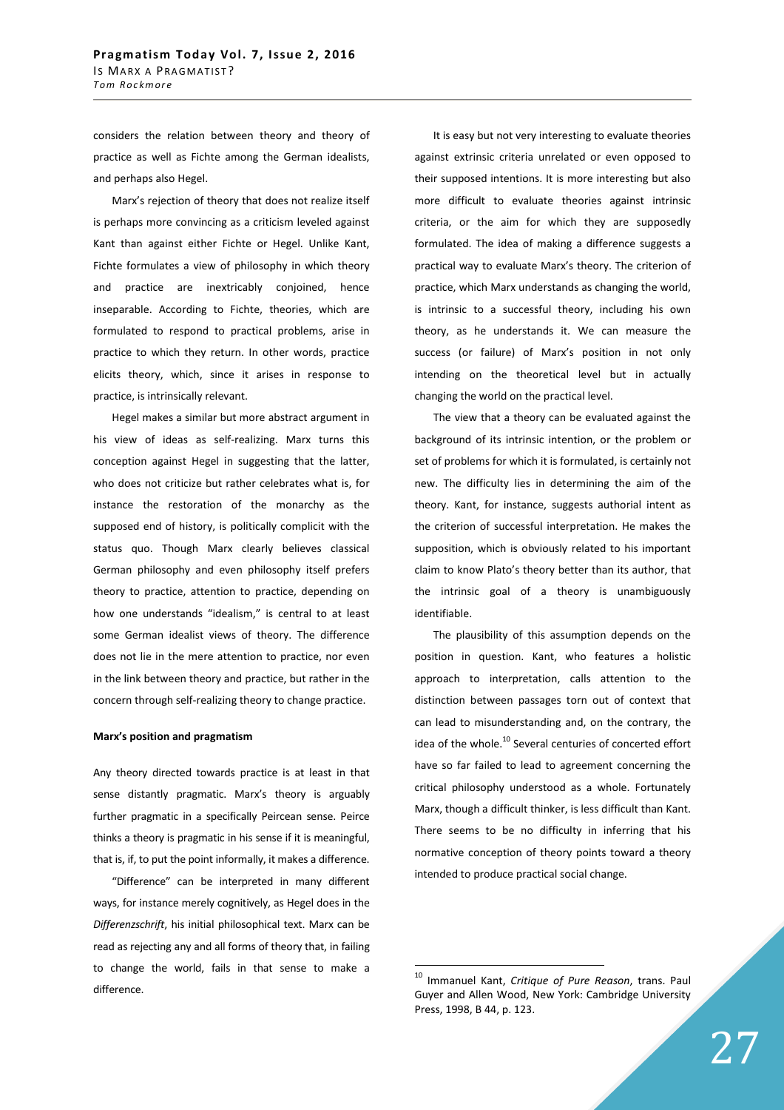considers the relation between theory and theory of practice as well as Fichte among the German idealists, and perhaps also Hegel.

Marx's rejection of theory that does not realize itself is perhaps more convincing as a criticism leveled against Kant than against either Fichte or Hegel. Unlike Kant, Fichte formulates a view of philosophy in which theory and practice are inextricably conjoined, hence inseparable. According to Fichte, theories, which are formulated to respond to practical problems, arise in practice to which they return. In other words, practice elicits theory, which, since it arises in response to practice, is intrinsically relevant.

Hegel makes a similar but more abstract argument in his view of ideas as self-realizing. Marx turns this conception against Hegel in suggesting that the latter, who does not criticize but rather celebrates what is, for instance the restoration of the monarchy as the supposed end of history, is politically complicit with the status quo. Though Marx clearly believes classical German philosophy and even philosophy itself prefers theory to practice, attention to practice, depending on how one understands "idealism," is central to at least some German idealist views of theory. The difference does not lie in the mere attention to practice, nor even in the link between theory and practice, but rather in the concern through self-realizing theory to change practice.

### **Marx's position and pragmatism**

Any theory directed towards practice is at least in that sense distantly pragmatic. Marx's theory is arguably further pragmatic in a specifically Peircean sense. Peirce thinks a theory is pragmatic in his sense if it is meaningful, that is, if, to put the point informally, it makes a difference.

"Difference" can be interpreted in many different ways, for instance merely cognitively, as Hegel does in the *Differenzschrift*, his initial philosophical text. Marx can be read as rejecting any and all forms of theory that, in failing to change the world, fails in that sense to make a difference.

It is easy but not very interesting to evaluate theories against extrinsic criteria unrelated or even opposed to their supposed intentions. It is more interesting but also more difficult to evaluate theories against intrinsic criteria, or the aim for which they are supposedly formulated. The idea of making a difference suggests a practical way to evaluate Marx's theory. The criterion of practice, which Marx understands as changing the world, is intrinsic to a successful theory, including his own theory, as he understands it. We can measure the success (or failure) of Marx's position in not only intending on the theoretical level but in actually changing the world on the practical level.

The view that a theory can be evaluated against the background of its intrinsic intention, or the problem or set of problems for which it is formulated, is certainly not new. The difficulty lies in determining the aim of the theory. Kant, for instance, suggests authorial intent as the criterion of successful interpretation. He makes the supposition, which is obviously related to his important claim to know Plato's theory better than its author, that the intrinsic goal of a theory is unambiguously identifiable.

The plausibility of this assumption depends on the position in question. Kant, who features a holistic approach to interpretation, calls attention to the distinction between passages torn out of context that can lead to misunderstanding and, on the contrary, the idea of the whole.<sup>10</sup> Several centuries of concerted effort have so far failed to lead to agreement concerning the critical philosophy understood as a whole. Fortunately Marx, though a difficult thinker, is less difficult than Kant. There seems to be no difficulty in inferring that his normative conception of theory points toward a theory intended to produce practical social change.

<sup>10</sup> Immanuel Kant, *Critique of Pure Reason*, trans. Paul Guyer and Allen Wood, New York: Cambridge University Press, 1998, B 44, p. 123.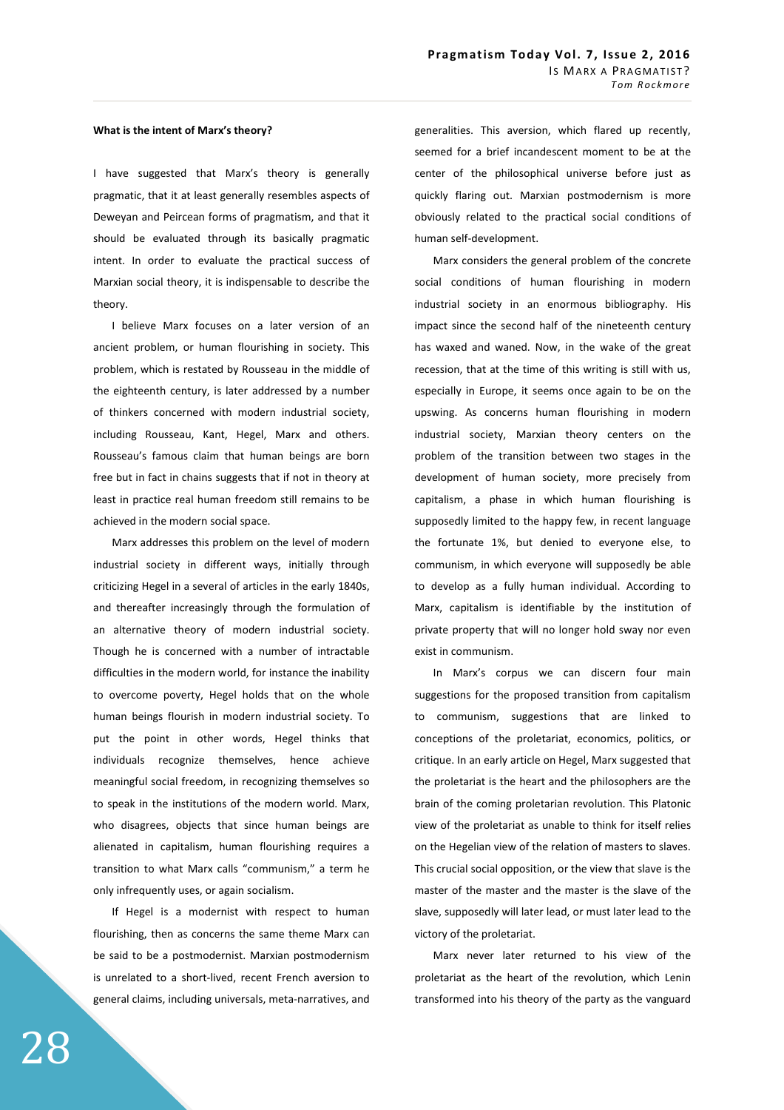#### **What is the intent of Marx's theory?**

I have suggested that Marx's theory is generally pragmatic, that it at least generally resembles aspects of Deweyan and Peircean forms of pragmatism, and that it should be evaluated through its basically pragmatic intent. In order to evaluate the practical success of Marxian social theory, it is indispensable to describe the theory.

I believe Marx focuses on a later version of an ancient problem, or human flourishing in society. This problem, which is restated by Rousseau in the middle of the eighteenth century, is later addressed by a number of thinkers concerned with modern industrial society, including Rousseau, Kant, Hegel, Marx and others. Rousseau's famous claim that human beings are born free but in fact in chains suggests that if not in theory at least in practice real human freedom still remains to be achieved in the modern social space.

Marx addresses this problem on the level of modern industrial society in different ways, initially through criticizing Hegel in a several of articles in the early 1840s, and thereafter increasingly through the formulation of an alternative theory of modern industrial society. Though he is concerned with a number of intractable difficulties in the modern world, for instance the inability to overcome poverty, Hegel holds that on the whole human beings flourish in modern industrial society. To put the point in other words, Hegel thinks that individuals recognize themselves, hence achieve meaningful social freedom, in recognizing themselves so to speak in the institutions of the modern world. Marx, who disagrees, objects that since human beings are alienated in capitalism, human flourishing requires a transition to what Marx calls "communism," a term he only infrequently uses, or again socialism.

If Hegel is a modernist with respect to human flourishing, then as concerns the same theme Marx can be said to be a postmodernist. Marxian postmodernism is unrelated to a short-lived, recent French aversion to general claims, including universals, meta-narratives, and generalities. This aversion, which flared up recently, seemed for a brief incandescent moment to be at the center of the philosophical universe before just as quickly flaring out. Marxian postmodernism is more obviously related to the practical social conditions of human self-development.

Marx considers the general problem of the concrete social conditions of human flourishing in modern industrial society in an enormous bibliography. His impact since the second half of the nineteenth century has waxed and waned. Now, in the wake of the great recession, that at the time of this writing is still with us, especially in Europe, it seems once again to be on the upswing. As concerns human flourishing in modern industrial society, Marxian theory centers on the problem of the transition between two stages in the development of human society, more precisely from capitalism, a phase in which human flourishing is supposedly limited to the happy few, in recent language the fortunate 1%, but denied to everyone else, to communism, in which everyone will supposedly be able to develop as a fully human individual. According to Marx, capitalism is identifiable by the institution of private property that will no longer hold sway nor even exist in communism.

In Marx's corpus we can discern four main suggestions for the proposed transition from capitalism to communism, suggestions that are linked to conceptions of the proletariat, economics, politics, or critique. In an early article on Hegel, Marx suggested that the proletariat is the heart and the philosophers are the brain of the coming proletarian revolution. This Platonic view of the proletariat as unable to think for itself relies on the Hegelian view of the relation of masters to slaves. This crucial social opposition, or the view that slave is the master of the master and the master is the slave of the slave, supposedly will later lead, or must later lead to the victory of the proletariat.

Marx never later returned to his view of the proletariat as the heart of the revolution, which Lenin transformed into his theory of the party as the vanguard

28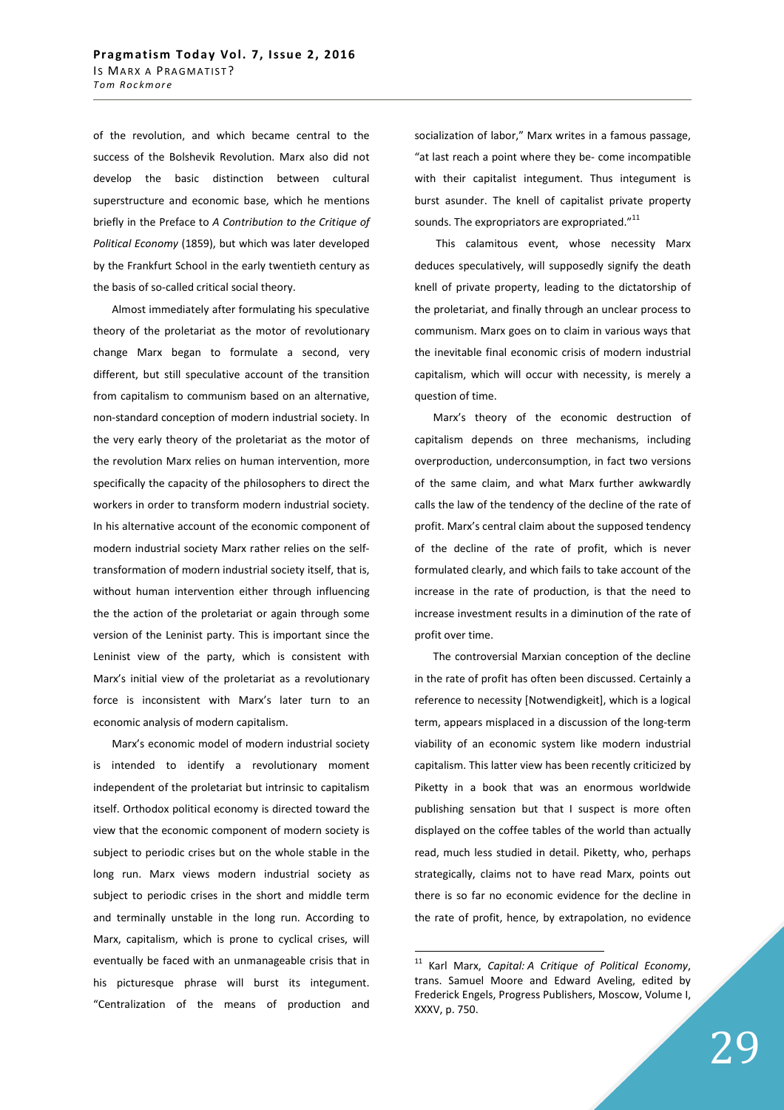of the revolution, and which became central to the success of the Bolshevik Revolution. Marx also did not develop the basic distinction between cultural superstructure and economic base, which he mentions briefly in the Preface to *A Contribution to the Critique of Political Economy* (1859), but which was later developed by the Frankfurt School in the early twentieth century as the basis of so-called critical social theory.

Almost immediately after formulating his speculative theory of the proletariat as the motor of revolutionary change Marx began to formulate a second, very different, but still speculative account of the transition from capitalism to communism based on an alternative, non-standard conception of modern industrial society. In the very early theory of the proletariat as the motor of the revolution Marx relies on human intervention, more specifically the capacity of the philosophers to direct the workers in order to transform modern industrial society. In his alternative account of the economic component of modern industrial society Marx rather relies on the selftransformation of modern industrial society itself, that is, without human intervention either through influencing the the action of the proletariat or again through some version of the Leninist party. This is important since the Leninist view of the party, which is consistent with Marx's initial view of the proletariat as a revolutionary force is inconsistent with Marx's later turn to an economic analysis of modern capitalism.

Marx's economic model of modern industrial society is intended to identify a revolutionary moment independent of the proletariat but intrinsic to capitalism itself. Orthodox political economy is directed toward the view that the economic component of modern society is subject to periodic crises but on the whole stable in the long run. Marx views modern industrial society as subject to periodic crises in the short and middle term and terminally unstable in the long run. According to Marx, capitalism, which is prone to cyclical crises, will eventually be faced with an unmanageable crisis that in his picturesque phrase will burst its integument. "Centralization of the means of production and socialization of labor," Marx writes in a famous passage, "at last reach a point where they be- come incompatible with their capitalist integument. Thus integument is burst asunder. The knell of capitalist private property sounds. The expropriators are expropriated."<sup>11</sup>

 This calamitous event, whose necessity Marx deduces speculatively, will supposedly signify the death knell of private property, leading to the dictatorship of the proletariat, and finally through an unclear process to communism. Marx goes on to claim in various ways that the inevitable final economic crisis of modern industrial capitalism, which will occur with necessity, is merely a question of time.

Marx's theory of the economic destruction of capitalism depends on three mechanisms, including overproduction, underconsumption, in fact two versions of the same claim, and what Marx further awkwardly calls the law of the tendency of the decline of the rate of profit. Marx's central claim about the supposed tendency of the decline of the rate of profit, which is never formulated clearly, and which fails to take account of the increase in the rate of production, is that the need to increase investment results in a diminution of the rate of profit over time.

The controversial Marxian conception of the decline in the rate of profit has often been discussed. Certainly a reference to necessity [Notwendigkeit], which is a logical term, appears misplaced in a discussion of the long-term viability of an economic system like modern industrial capitalism. This latter view has been recently criticized by Piketty in a book that was an enormous worldwide publishing sensation but that I suspect is more often displayed on the coffee tables of the world than actually read, much less studied in detail. Piketty, who, perhaps strategically, claims not to have read Marx, points out there is so far no economic evidence for the decline in the rate of profit, hence, by extrapolation, no evidence

<sup>11</sup> Karl Marx, *Capital: A Critique of Political Economy*, trans. Samuel Moore and Edward Aveling, edited by Frederick Engels, Progress Publishers, Moscow, Volume I, XXXV, p. 750.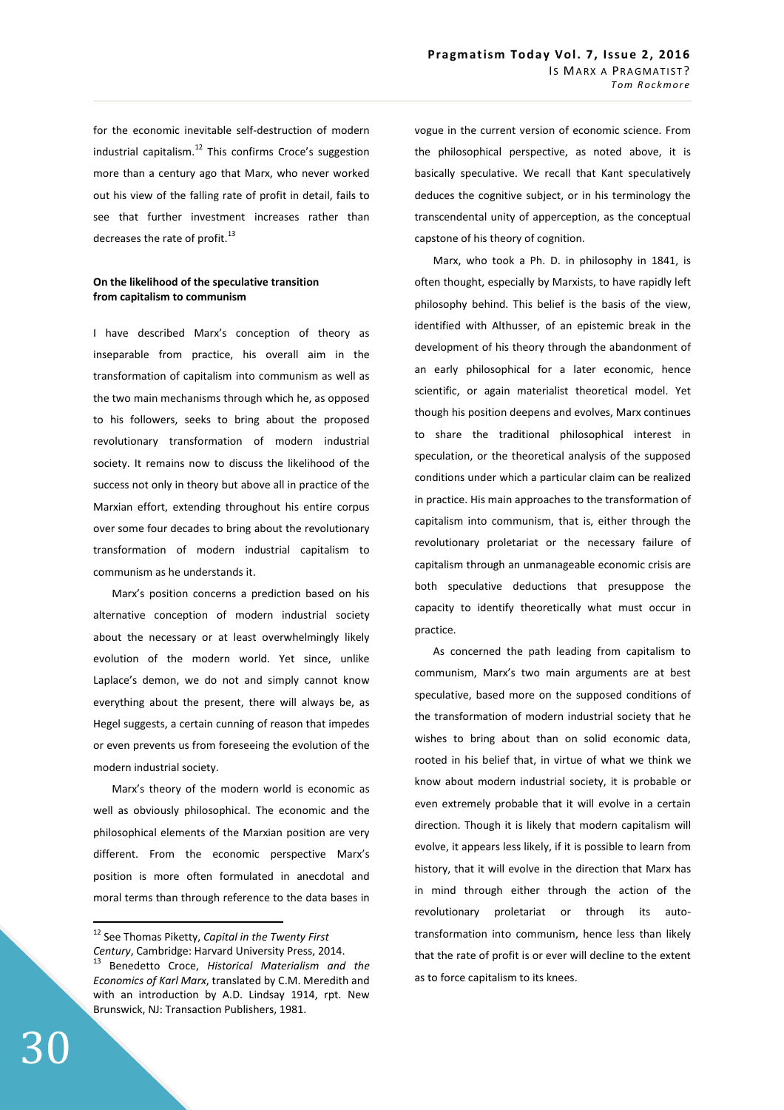for the economic inevitable self-destruction of modern industrial capitalism. $^{12}$  This confirms Croce's suggestion more than a century ago that Marx, who never worked out his view of the falling rate of profit in detail, fails to see that further investment increases rather than decreases the rate of profit.<sup>13</sup>

# **On the likelihood of the speculative transition from capitalism to communism**

I have described Marx's conception of theory as inseparable from practice, his overall aim in the transformation of capitalism into communism as well as the two main mechanisms through which he, as opposed to his followers, seeks to bring about the proposed revolutionary transformation of modern industrial society. It remains now to discuss the likelihood of the success not only in theory but above all in practice of the Marxian effort, extending throughout his entire corpus over some four decades to bring about the revolutionary transformation of modern industrial capitalism to communism as he understands it.

Marx's position concerns a prediction based on his alternative conception of modern industrial society about the necessary or at least overwhelmingly likely evolution of the modern world. Yet since, unlike Laplace's demon, we do not and simply cannot know everything about the present, there will always be, as Hegel suggests, a certain cunning of reason that impedes or even prevents us from foreseeing the evolution of the modern industrial society.

Marx's theory of the modern world is economic as well as obviously philosophical. The economic and the philosophical elements of the Marxian position are very different. From the economic perspective Marx's position is more often formulated in anecdotal and moral terms than through reference to the data bases in vogue in the current version of economic science. From the philosophical perspective, as noted above, it is basically speculative. We recall that Kant speculatively deduces the cognitive subject, or in his terminology the transcendental unity of apperception, as the conceptual capstone of his theory of cognition.

Marx, who took a Ph. D. in philosophy in 1841, is often thought, especially by Marxists, to have rapidly left philosophy behind. This belief is the basis of the view, identified with Althusser, of an epistemic break in the development of his theory through the abandonment of an early philosophical for a later economic, hence scientific, or again materialist theoretical model. Yet though his position deepens and evolves, Marx continues to share the traditional philosophical interest in speculation, or the theoretical analysis of the supposed conditions under which a particular claim can be realized in practice. His main approaches to the transformation of capitalism into communism, that is, either through the revolutionary proletariat or the necessary failure of capitalism through an unmanageable economic crisis are both speculative deductions that presuppose the capacity to identify theoretically what must occur in practice.

As concerned the path leading from capitalism to communism, Marx's two main arguments are at best speculative, based more on the supposed conditions of the transformation of modern industrial society that he wishes to bring about than on solid economic data, rooted in his belief that, in virtue of what we think we know about modern industrial society, it is probable or even extremely probable that it will evolve in a certain direction. Though it is likely that modern capitalism will evolve, it appears less likely, if it is possible to learn from history, that it will evolve in the direction that Marx has in mind through either through the action of the revolutionary proletariat or through its autotransformation into communism, hence less than likely that the rate of profit is or ever will decline to the extent as to force capitalism to its knees.

<sup>12</sup> See Thomas Piketty, *Capital in the Twenty First Century*, Cambridge: Harvard University Press, 2014. <sup>13</sup> Benedetto Croce, *Historical Materialism and the Economics of Karl Marx*, translated by C.M. Meredith and with an introduction by A.D. Lindsay 1914, rpt. New Brunswick, NJ: Transaction Publishers, 1981.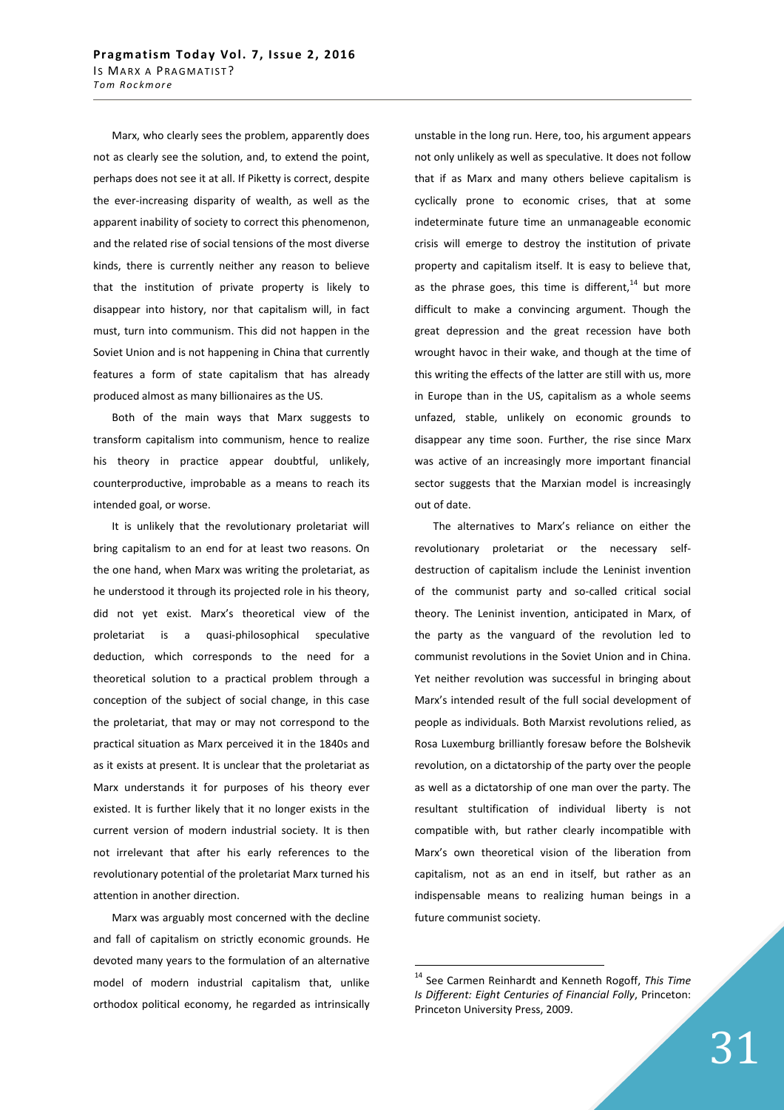Marx, who clearly sees the problem, apparently does not as clearly see the solution, and, to extend the point, perhaps does not see it at all. If Piketty is correct, despite the ever-increasing disparity of wealth, as well as the apparent inability of society to correct this phenomenon, and the related rise of social tensions of the most diverse kinds, there is currently neither any reason to believe that the institution of private property is likely to disappear into history, nor that capitalism will, in fact must, turn into communism. This did not happen in the Soviet Union and is not happening in China that currently features a form of state capitalism that has already produced almost as many billionaires as the US.

Both of the main ways that Marx suggests to transform capitalism into communism, hence to realize his theory in practice appear doubtful, unlikely, counterproductive, improbable as a means to reach its intended goal, or worse.

It is unlikely that the revolutionary proletariat will bring capitalism to an end for at least two reasons. On the one hand, when Marx was writing the proletariat, as he understood it through its projected role in his theory, did not yet exist. Marx's theoretical view of the proletariat is a quasi-philosophical speculative deduction, which corresponds to the need for a theoretical solution to a practical problem through a conception of the subject of social change, in this case the proletariat, that may or may not correspond to the practical situation as Marx perceived it in the 1840s and as it exists at present. It is unclear that the proletariat as Marx understands it for purposes of his theory ever existed. It is further likely that it no longer exists in the current version of modern industrial society. It is then not irrelevant that after his early references to the revolutionary potential of the proletariat Marx turned his attention in another direction.

Marx was arguably most concerned with the decline and fall of capitalism on strictly economic grounds. He devoted many years to the formulation of an alternative model of modern industrial capitalism that, unlike orthodox political economy, he regarded as intrinsically unstable in the long run. Here, too, his argument appears not only unlikely as well as speculative. It does not follow that if as Marx and many others believe capitalism is cyclically prone to economic crises, that at some indeterminate future time an unmanageable economic crisis will emerge to destroy the institution of private property and capitalism itself. It is easy to believe that, as the phrase goes, this time is different, $14$  but more difficult to make a convincing argument. Though the great depression and the great recession have both wrought havoc in their wake, and though at the time of this writing the effects of the latter are still with us, more in Europe than in the US, capitalism as a whole seems unfazed, stable, unlikely on economic grounds to disappear any time soon. Further, the rise since Marx was active of an increasingly more important financial sector suggests that the Marxian model is increasingly out of date.

The alternatives to Marx's reliance on either the revolutionary proletariat or the necessary selfdestruction of capitalism include the Leninist invention of the communist party and so-called critical social theory. The Leninist invention, anticipated in Marx, of the party as the vanguard of the revolution led to communist revolutions in the Soviet Union and in China. Yet neither revolution was successful in bringing about Marx's intended result of the full social development of people as individuals. Both Marxist revolutions relied, as Rosa Luxemburg brilliantly foresaw before the Bolshevik revolution, on a dictatorship of the party over the people as well as a dictatorship of one man over the party. The resultant stultification of individual liberty is not compatible with, but rather clearly incompatible with Marx's own theoretical vision of the liberation from capitalism, not as an end in itself, but rather as an indispensable means to realizing human beings in a future communist society.

<sup>14</sup> See Carmen Reinhardt and Kenneth Rogoff, *This Time Is Different: Eight Centuries of Financial Folly*, Princeton: Princeton University Press, 2009.